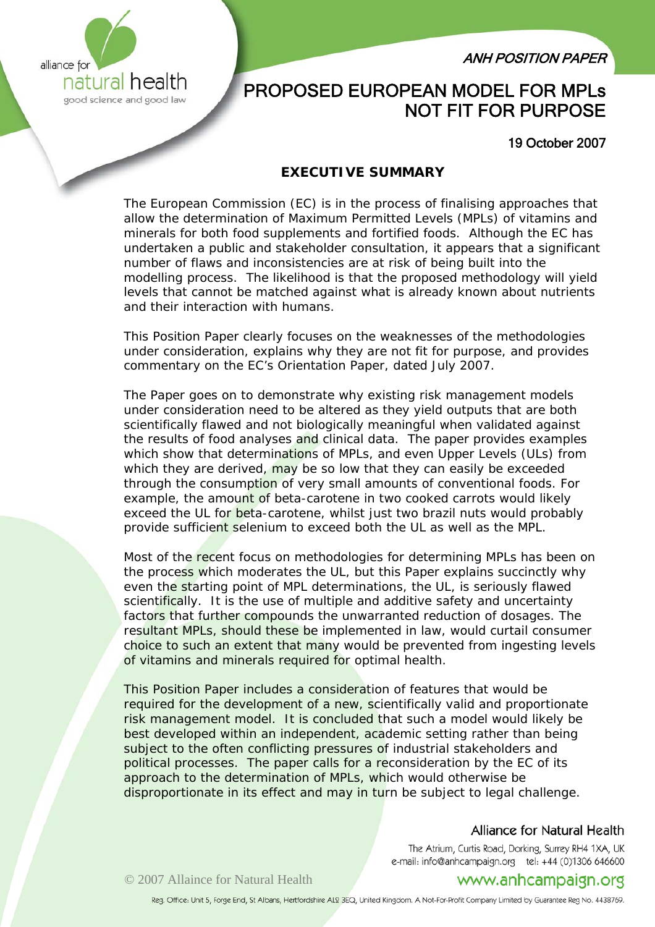

# ANH POSITION PAPER

# PROPOSED EUROPEAN MODEL FOR MPLs NOT FIT FOR PURPOSE

# 19 October 2007

# **EXECUTIVE SUMMARY**

The European Commission (EC) is in the process of finalising approaches that allow the determination of Maximum Permitted Levels (MPLs) of vitamins and minerals for both food supplements and fortified foods. Although the EC has undertaken a public and stakeholder consultation, it appears that a significant number of flaws and inconsistencies are at risk of being built into the modelling process. The likelihood is that the proposed methodology will yield levels that cannot be matched against what is already known about nutrients and their interaction with humans.

This Position Paper clearly focuses on the weaknesses of the methodologies under consideration, explains why they are not fit for purpose, and provides commentary on the EC's Orientation Paper, dated July 2007.

The Paper goes on to demonstrate why existing risk management models under consideration need to be altered as they yield outputs that are both scientifically flawed and not biologically meaningful when validated against the results of food analyses and clinical data. The paper provides examples which show that determinations of MPLs, and even Upper Levels (ULs) from which they are derived, may be so low that they can easily be exceeded through the consumption of very small amounts of conventional foods. For example, the amount of beta-carotene in two cooked carrots would likely exceed the UL for beta-carotene, whilst just two brazil nuts would probably provide sufficient selenium to exceed both the UL as well as the MPL.

Most of the recent focus on methodologies for determining MPLs has been on the process which moderates the UL, but this Paper explains succinctly why even the starting point of MPL determinations, the UL, is seriously flawed scientifically. It is the use of multiple and additive safety and uncertainty factors that further compounds the unwarranted reduction of dosages. The resultant MPLs, should these be implemented in law, would curtail consumer choice to such an extent that many would be prevented from ingesting levels of vitamins and minerals required for optimal health.

This Position Paper includes a consideration of features that would be required for the development of a new, scientifically valid and proportionate risk management model. It is concluded that such a model would likely be best developed within an independent, academic setting rather than being subject to the often conflicting pressures of industrial stakeholders and political processes. The paper calls for a reconsideration by the EC of its approach to the determination of MPLs, which would otherwise be disproportionate in its effect and may in turn be subject to legal challenge.

#### Alliance for Natural Health

The Atrium, Curtis Road, Dorking, Surrey RH4 1XA, UK e-mail: info@anhcampaign.org tel: +44 (0)1306 646600

# www.anhcampaign.org

© 2007 Allaince for Natural Health

Reg. Office: Unit 5, Forge End, St Albans, Hertfordshire AL2 3EQ, United Kingdom. A Not-For-Profit Company Limited by Guarantee Reg No. 4438769.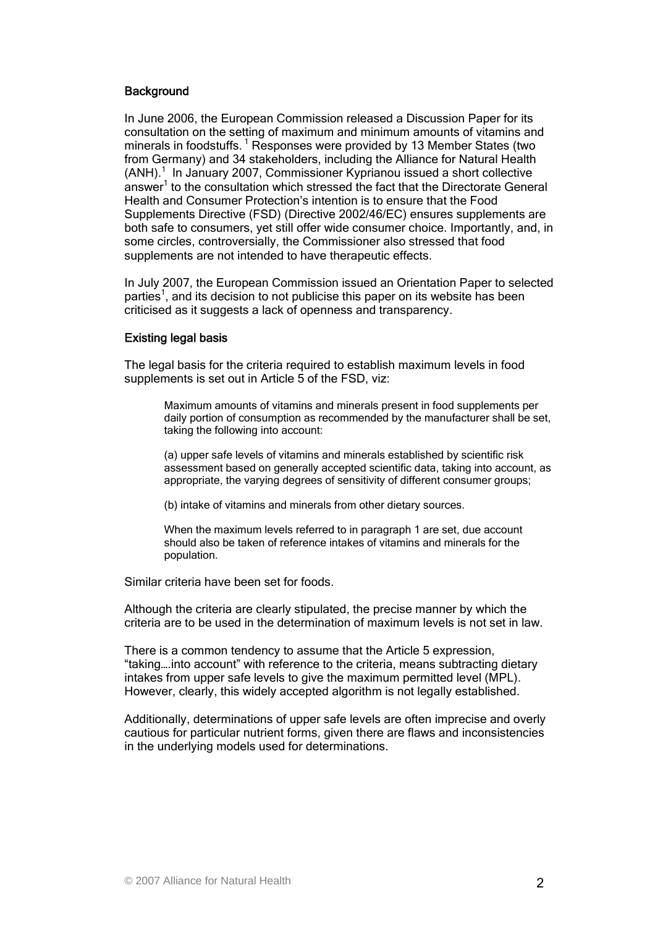#### **Background**

In June 2006, the European Commission released a Discussion Paper for its consultation on the setting of maximum and minimum amounts of vitamins and minerals in foodstuffs.<sup>1</sup> Responses were provided by 13 Member States (two from Germany) and 34 stakeholders, including the Alliance for Natural Health  $(ANH).$ <sup>1</sup> In January 2007, Commissioner Kyprianou issued a short collective answer<sup>1</sup> to the consultation which stressed the fact that the Directorate General Health and Consumer Protection's intention is to ensure that the Food Supplements Directive (FSD) (Directive 2002/46/EC) ensures supplements are both safe to consumers, yet still offer wide consumer choice. Importantly, and, in some circles, controversially, the Commissioner also stressed that food supplements are not intended to have therapeutic effects.

In July 2007, the European Commission issued an Orientation Paper to selected parties<sup>1</sup>, and its decision to not publicise this paper on its website has been criticised as it suggests a lack of openness and transparency.

# Existing legal basis

The legal basis for the criteria required to establish maximum levels in food supplements is set out in Article 5 of the FSD, viz:

Maximum amounts of vitamins and minerals present in food supplements per daily portion of consumption as recommended by the manufacturer shall be set, taking the following into account:

(a) upper safe levels of vitamins and minerals established by scientific risk assessment based on generally accepted scientific data, taking into account, as appropriate, the varying degrees of sensitivity of different consumer groups;

(b) intake of vitamins and minerals from other dietary sources.

When the maximum levels referred to in paragraph 1 are set, due account should also be taken of reference intakes of vitamins and minerals for the population.

Similar criteria have been set for foods.

Although the criteria are clearly stipulated, the precise manner by which the criteria are to be used in the determination of maximum levels is not set in law.

There is a common tendency to assume that the Article 5 expression, "taking….into account" with reference to the criteria, means subtracting dietary intakes from upper safe levels to give the maximum permitted level (MPL). However, clearly, this widely accepted algorithm is not legally established.

Additionally, determinations of upper safe levels are often imprecise and overly cautious for particular nutrient forms, given there are flaws and inconsistencies in the underlying models used for determinations.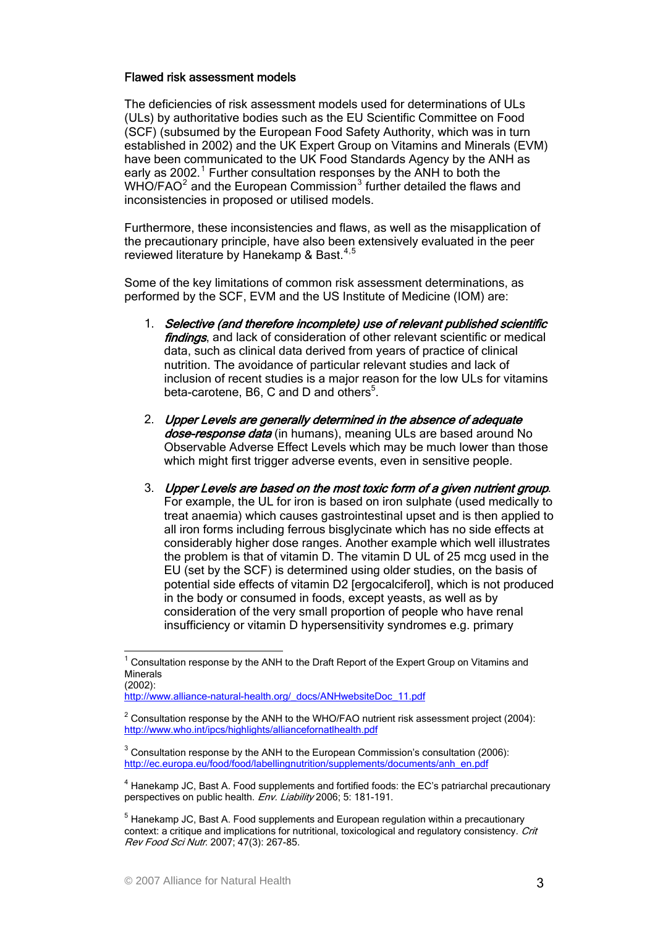#### Flawed risk assessment models

The deficiencies of risk assessment models used for determinations of ULs (ULs) by authoritative bodies such as the EU Scientific Committee on Food (SCF) (subsumed by the European Food Safety Authority, which was in turn established in 2002) and the UK Expert Group on Vitamins and Minerals (EVM) have been communicated to the UK Food Standards Agency by the ANH as early as 2002.<sup>[1](#page-2-0)</sup> Further consultation responses by the ANH to both the WHO/FAO<sup>[2](#page-2-1)</sup> and the European Commission<sup>[3](#page-2-2)</sup> further detailed the flaws and inconsistencies in proposed or utilised models.

Furthermore, these inconsistencies and flaws, as well as the misapplication of the precautionary principle, have also been extensively evaluated in the peer reviewed literature by Hanekamp & Bast. $4,5$  $4,5$  $4,5$ 

Some of the key limitations of common risk assessment determinations, as performed by the SCF, EVM and the US Institute of Medicine (IOM) are:

- 1. Selective (and therefore incomplete) use of relevant published scientific findings, and lack of consideration of other relevant scientific or medical data, such as clinical data derived from years of practice of clinical nutrition. The avoidance of particular relevant studies and lack of inclusion of recent studies is a major reason for the low ULs for vitamins beta-carotene, B6, C and D and others<sup>5</sup>.
- 2. Upper Levels are generally determined in the absence of adequate dose-response data (in humans), meaning ULs are based around No Observable Adverse Effect Levels which may be much lower than those which might first trigger adverse events, even in sensitive people.
- 3. Upper Levels are based on the most toxic form of a given nutrient group. For example, the UL for iron is based on iron sulphate (used medically to treat anaemia) which causes gastrointestinal upset and is then applied to all iron forms including ferrous bisglycinate which has no side effects at considerably higher dose ranges. Another example which well illustrates the problem is that of vitamin D. The vitamin D UL of 25 mcg used in the EU (set by the SCF) is determined using older studies, on the basis of potential side effects of vitamin D2 [ergocalciferol], which is not produced in the body or consumed in foods, except yeasts, as well as by consideration of the very small proportion of people who have renal insufficiency or vitamin D hypersensitivity syndromes e.g. primary

<span id="page-2-0"></span><sup>&</sup>lt;sup>1</sup> Consultation response by the ANH to the Draft Report of the Expert Group on Vitamins and **Minerals** (2002):

[http://www.alliance-natural-health.org/\\_docs/ANHwebsiteDoc\\_11.pdf](http://www.alliance-natural-health.org/_docs/ANHwebsiteDoc_11.pdf)

<span id="page-2-1"></span><sup>&</sup>lt;sup>2</sup> Consultation response by the ANH to the WHO/FAO nutrient risk assessment project (2004): <http://www.who.int/ipcs/highlights/alliancefornatlhealth.pdf>

<span id="page-2-2"></span> $3$  Consultation response by the ANH to the European Commission's consultation (2006): [http://ec.europa.eu/food/food/labellingnutrition/supplements/documents/anh\\_en.pdf](http://ec.europa.eu/food/food/labellingnutrition/supplements/documents/anh_en.pdf)

<span id="page-2-3"></span><sup>&</sup>lt;sup>4</sup> Hanekamp JC, Bast A. Food supplements and fortified foods: the EC's patriarchal precautionary perspectives on public health. Env. Liability 2006; 5: 181-191.

<span id="page-2-4"></span><sup>&</sup>lt;sup>5</sup> Hanekamp JC, Bast A. Food supplements and European regulation within a precautionary context: a critique and implications for nutritional, toxicological and regulatory consistency. Crit Rev Food Sci Nutr. 2007; 47(3): 267-85.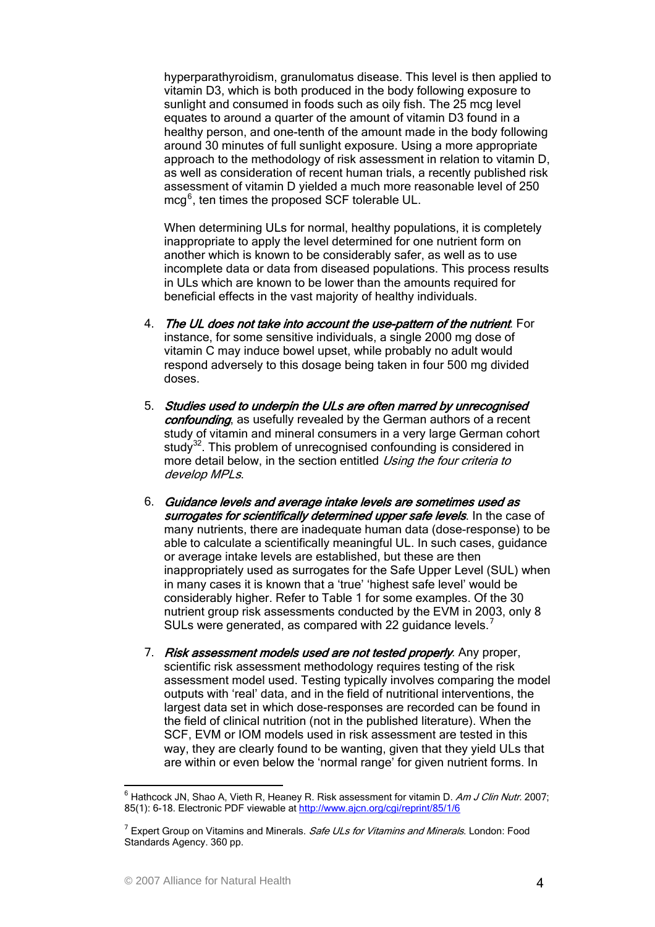hyperparathyroidism, granulomatus disease. This level is then applied to vitamin D3, which is both produced in the body following exposure to sunlight and consumed in foods such as oily fish. The 25 mcg level equates to around a quarter of the amount of vitamin D3 found in a healthy person, and one-tenth of the amount made in the body following around 30 minutes of full sunlight exposure. Using a more appropriate approach to the methodology of risk assessment in relation to vitamin D, as well as consideration of recent human trials, a recently published risk assessment of vitamin D yielded a much more reasonable level of 250 mcg<sup>[6](#page-3-0)</sup>, ten times the proposed SCF tolerable UL.

When determining ULs for normal, healthy populations, it is completely inappropriate to apply the level determined for one nutrient form on another which is known to be considerably safer, as well as to use incomplete data or data from diseased populations. This process results in ULs which are known to be lower than the amounts required for beneficial effects in the vast majority of healthy individuals.

- 4. The UL does not take into account the use-pattern of the nutrient. For instance, for some sensitive individuals, a single 2000 mg dose of vitamin C may induce bowel upset, while probably no adult would respond adversely to this dosage being taken in four 500 mg divided doses.
- 5. Studies used to underpin the ULs are often marred by unrecognised confounding, as usefully revealed by the German authors of a recent study of vitamin and mineral consumers in a very large German cohort study<sup>32</sup>. This problem of unrecognised confounding is considered in more detail below, in the section entitled *Using the four criteria to* develop MPLs.
- 6. Guidance levels and average intake levels are sometimes used as surrogates for scientifically determined upper safe levels. In the case of many nutrients, there are inadequate human data (dose-response) to be able to calculate a scientifically meaningful UL. In such cases, guidance or average intake levels are established, but these are then inappropriately used as surrogates for the Safe Upper Level (SUL) when in many cases it is known that a 'true' 'highest safe level' would be considerably higher. Refer to Table 1 for some examples. Of the 30 nutrient group risk assessments conducted by the EVM in 2003, only 8 SULs were generated, as compared with 22 guidance levels.<sup>[7](#page-3-1)</sup>
- 7. Risk assessment models used are not tested properly. Any proper, scientific risk assessment methodology requires testing of the risk assessment model used. Testing typically involves comparing the model outputs with 'real' data, and in the field of nutritional interventions, the largest data set in which dose-responses are recorded can be found in the field of clinical nutrition (not in the published literature). When the SCF, EVM or IOM models used in risk assessment are tested in this way, they are clearly found to be wanting, given that they yield ULs that are within or even below the 'normal range' for given nutrient forms. In

<span id="page-3-0"></span><sup>&</sup>lt;sup>6</sup> Hathcock JN, Shao A, Vieth R, Heaney R. Risk assessment for vitamin D. Am J Clin Nutr. 2007; 85(1): 6-18. Electronic PDF viewable at <http://www.ajcn.org/cgi/reprint/85/1/6>

<span id="page-3-1"></span><sup>&</sup>lt;sup>7</sup> Expert Group on Vitamins and Minerals. *Safe ULs for Vitamins and Minerals*. London: Food Standards Agency. 360 pp.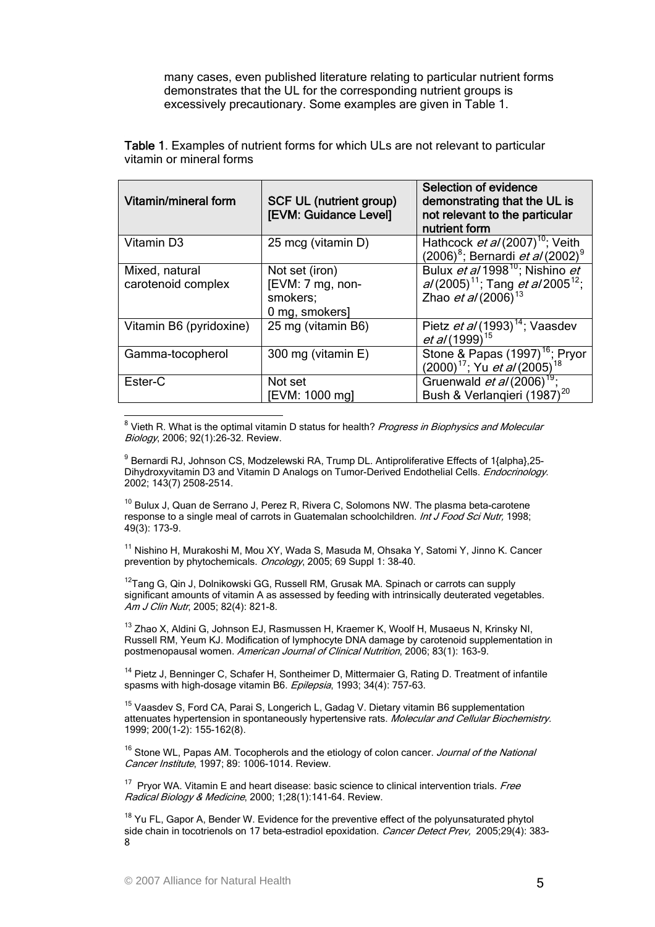many cases, even published literature relating to particular nutrient forms demonstrates that the UL for the corresponding nutrient groups is excessively precautionary. Some examples are given in Table 1.

| <b>Vitamin/mineral form</b>          | <b>SCF UL (nutrient group)</b><br>[EVM: Guidance Level]          | <b>Selection of evidence</b><br>demonstrating that the UL is<br>not relevant to the particular<br>nutrient form                     |
|--------------------------------------|------------------------------------------------------------------|-------------------------------------------------------------------------------------------------------------------------------------|
| Vitamin D3                           | 25 mcg (vitamin D)                                               | Hathcock et al (2007) <sup>10</sup> ; Veith<br>(2006) <sup>8</sup> ; Bernardi <i>et al</i> (2002) <sup>9</sup>                      |
| Mixed, natural<br>carotenoid complex | Not set (iron)<br>[EVM: 7 mg, non-<br>smokers;<br>0 mg, smokers] | Bulux et al 1998 <sup>10</sup> ; Nishino et<br>$a/(2005)^{11}$ ; Tang et al 2005 <sup>12</sup> ;<br>Zhao et al (2006) <sup>13</sup> |
| Vitamin B6 (pyridoxine)              | 25 mg (vitamin B6)                                               | Pietz et al (1993) <sup>14</sup> ; Vaasdev<br>et al (1999) <sup>15</sup>                                                            |
| Gamma-tocopherol                     | 300 mg (vitamin E)                                               | Stone & Papas (1997) <sup>16</sup> ; Pryor<br>(2000) <sup>17</sup> ; Yu <i>et al</i> (2005) <sup>18</sup>                           |
| Ester-C                              | Not set<br>[EVM: 1000 mg]                                        | Gruenwald et al (2006) <sup>19</sup> ;<br>Bush & Verlangieri (1987) <sup>20</sup>                                                   |

Table 1. Examples of nutrient forms for which ULs are not relevant to particular vitamin or mineral forms

<span id="page-4-0"></span><u>ed</u><br>8 Vieth R. What is the optimal vitamin D status for health? *Progress in Biophysics and Molecular* Biology, 2006; 92(1):26-32. Review.

<span id="page-4-1"></span><sup>9</sup> Bernardi RJ, Johnson CS, Modzelewski RA, Trump DL. Antiproliferative Effects of 1{alpha},25-Dihydroxyvitamin D3 and Vitamin D Analogs on Tumor-Derived Endothelial Cells. *Endocrinology*. 2002; 143(7) 2508-2514.

<span id="page-4-2"></span> $10$  Bulux J, Quan de Serrano J, Perez R, Rivera C, Solomons NW. The plasma beta-carotene response to a single meal of carrots in Guatemalan schoolchildren. *Int J Food Sci Nutr*, 1998; 49(3): 173-9.

<span id="page-4-11"></span><span id="page-4-3"></span><sup>11</sup> Nishino H, Murakoshi M, Mou XY, Wada S, Masuda M, Ohsaka Y, Satomi Y, Jinno K. Cancer prevention by phytochemicals. Oncology, 2005; 69 Suppl 1: 38-40.

<span id="page-4-12"></span><span id="page-4-4"></span><sup>12</sup>Tang G, Qin J, Dolnikowski GG, Russell RM, Grusak MA. Spinach or carrots can supply significant amounts of vitamin A as assessed by feeding with intrinsically deuterated vegetables. Am J Clin Nutr, 2005; 82(4): 821-8.

<span id="page-4-5"></span><sup>13</sup> Zhao X, Aldini G, Johnson EJ, Rasmussen H, Kraemer K, Woolf H, Musaeus N, Krinsky NI, Russell RM, Yeum KJ. Modification of lymphocyte DNA damage by carotenoid supplementation in postmenopausal women. American Journal of Clinical Nutrition, 2006; 83(1): 163-9.

<span id="page-4-6"></span><sup>14</sup> Pietz J, Benninger C, Schafer H, Sontheimer D, Mittermaier G, Rating D. Treatment of infantile spasms with high-dosage vitamin B6. *Epilepsia*, 1993; 34(4): 757-63.

<span id="page-4-7"></span><sup>15</sup> Vaasdev S, Ford CA, Parai S, Longerich L, Gadag V. Dietary vitamin B6 supplementation attenuates hypertension in spontaneously hypertensive rats. Molecular and Cellular Biochemistry. 1999; 200(1-2): 155-162(8).

<span id="page-4-8"></span><sup>16</sup> Stone WL, Papas AM. Tocopherols and the etiology of colon cancer. Journal of the National Cancer Institute, 1997; 89: 1006-1014. Review.

<span id="page-4-9"></span> $17$  Prvor WA. Vitamin E and heart disease: basic science to clinical intervention trials. Free Radical Biology & Medicine, 2000; 1;28(1):141-64. Review.

<span id="page-4-10"></span><sup>18</sup> Yu FL, Gapor A, Bender W. Evidence for the preventive effect of the polyunsaturated phytol side chain in tocotrienols on 17 beta-estradiol epoxidation. Cancer Detect Prev, 2005;29(4): 383-8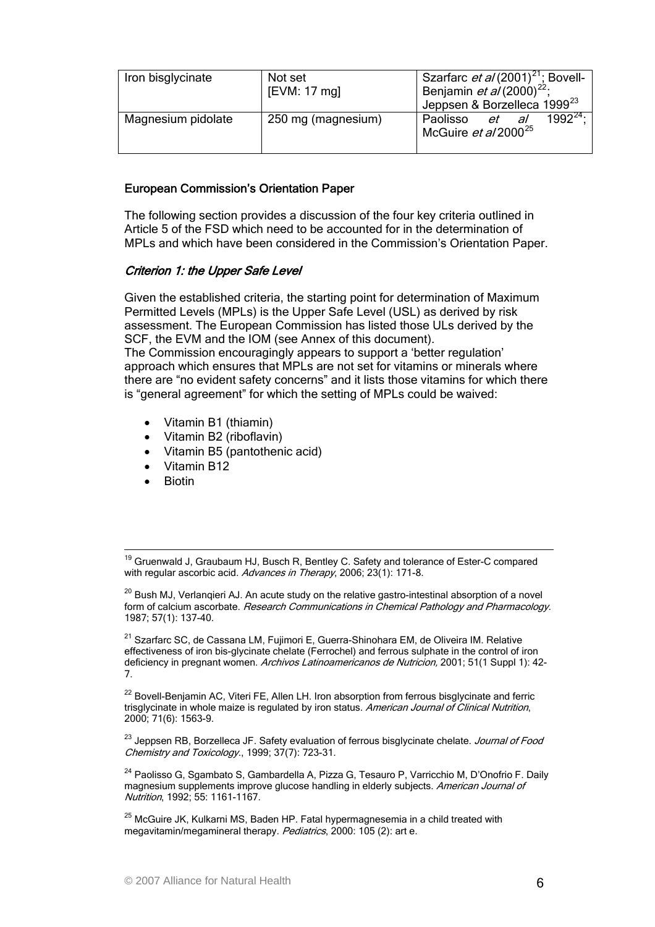| Iron bisglycinate  | Not set<br>[EVM: 17 mg] | Szarfarc et al (2001) <sup>21</sup> ; Bovell-<br>Benjamin <i>et al</i> (2000) <sup>22</sup> ;<br>Jeppsen & Borzelleca 1999 <sup>23</sup> |
|--------------------|-------------------------|------------------------------------------------------------------------------------------------------------------------------------------|
| Magnesium pidolate | 250 mg (magnesium)      | $1992^{24}$ :<br>Paolisso<br>al<br>et<br>McGuire et al 2000 <sup>25</sup>                                                                |

# European Commission's Orientation Paper

The following section provides a discussion of the four key criteria outlined in Article 5 of the FSD which need to be accounted for in the determination of MPLs and which have been considered in the Commission's Orientation Paper.

#### Criterion 1: the Upper Safe Level

Given the established criteria, the starting point for determination of Maximum Permitted Levels (MPLs) is the Upper Safe Level (USL) as derived by risk assessment. The European Commission has listed those ULs derived by the SCF, the EVM and the IOM (see Annex of this document).

The Commission encouragingly appears to support a 'better regulation' approach which ensures that MPLs are not set for vitamins or minerals where there are "no evident safety concerns" and it lists those vitamins for which there is "general agreement" for which the setting of MPLs could be waived:

- Vitamin B1 (thiamin)
- Vitamin B2 (riboflavin)
- Vitamin B5 (pantothenic acid)
- Vitamin B12
- **Biotin**

<span id="page-5-0"></span> $21$  Szarfarc SC, de Cassana LM, Fujimori E, Guerra-Shinohara EM, de Oliveira IM. Relative effectiveness of iron bis-glycinate chelate (Ferrochel) and ferrous sulphate in the control of iron deficiency in pregnant women. Archivos Latinoamericanos de Nutricion, 2001; 51(1 Suppl 1): 42-7.

<span id="page-5-1"></span><sup>22</sup> Bovell-Benjamin AC, Viteri FE, Allen LH. Iron absorption from ferrous bisglycinate and ferric trisglycinate in whole maize is regulated by iron status. American Journal of Clinical Nutrition, 2000; 71(6): 1563-9.

<span id="page-5-2"></span><sup>23</sup> Jeppsen RB, Borzelleca JF. Safety evaluation of ferrous bisglycinate chelate. Journal of Food Chemistry and Toxicology., 1999; 37(7): 723-31.

<span id="page-5-3"></span><sup>24</sup> Paolisso G, Sgambato S, Gambardella A, Pizza G, Tesauro P, Varricchio M, D'Onofrio F. Daily magnesium supplements improve glucose handling in elderly subjects. American Journal of Nutrition, 1992; 55: 1161-1167.

<span id="page-5-4"></span> $25$  McGuire JK, Kulkarni MS, Baden HP. Fatal hypermagnesemia in a child treated with megavitamin/megamineral therapy. Pediatrics, 2000: 105 (2): art e.

<sup>&</sup>lt;sup>19</sup> Gruenwald J, Graubaum HJ, Busch R, Bentley C. Safety and tolerance of Ester-C compared with regular ascorbic acid. Advances in Therapy, 2006; 23(1): 171-8.

 $^{20}$  Bush MJ, Verlangieri AJ. An acute study on the relative gastro-intestinal absorption of a novel form of calcium ascorbate. Research Communications in Chemical Pathology and Pharmacology. 1987; 57(1): 137-40.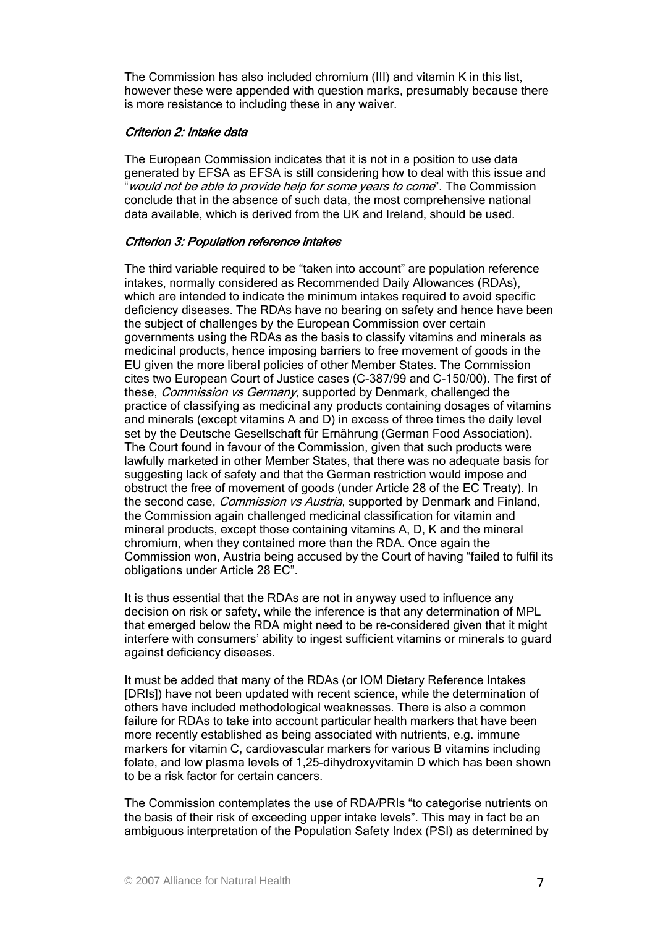The Commission has also included chromium (III) and vitamin K in this list, however these were appended with question marks, presumably because there is more resistance to including these in any waiver.

### Criterion 2: Intake data

The European Commission indicates that it is not in a position to use data generated by EFSA as EFSA is still considering how to deal with this issue and would not be able to provide help for some years to come". The Commission conclude that in the absence of such data, the most comprehensive national data available, which is derived from the UK and Ireland, should be used.

#### Criterion 3: Population reference intakes

The third variable required to be "taken into account" are population reference intakes, normally considered as Recommended Daily Allowances (RDAs), which are intended to indicate the minimum intakes required to avoid specific deficiency diseases. The RDAs have no bearing on safety and hence have been the subject of challenges by the European Commission over certain governments using the RDAs as the basis to classify vitamins and minerals as medicinal products, hence imposing barriers to free movement of goods in the EU given the more liberal policies of other Member States. The Commission cites two European Court of Justice cases (C-387/99 and C-150/00). The first of these, *Commission vs Germany*, supported by Denmark, challenged the practice of classifying as medicinal any products containing dosages of vitamins and minerals (except vitamins A and D) in excess of three times the daily level set by the Deutsche Gesellschaft für Ernährung (German Food Association). The Court found in favour of the Commission, given that such products were lawfully marketed in other Member States, that there was no adequate basis for suggesting lack of safety and that the German restriction would impose and obstruct the free of movement of goods (under Article 28 of the EC Treaty). In the second case, *Commission vs Austria*, supported by Denmark and Finland, the Commission again challenged medicinal classification for vitamin and mineral products, except those containing vitamins A, D, K and the mineral chromium, when they contained more than the RDA. Once again the Commission won, Austria being accused by the Court of having "failed to fulfil its obligations under Article 28 EC".

It is thus essential that the RDAs are not in anyway used to influence any decision on risk or safety, while the inference is that any determination of MPL that emerged below the RDA might need to be re-considered given that it might interfere with consumers' ability to ingest sufficient vitamins or minerals to guard against deficiency diseases.

It must be added that many of the RDAs (or IOM Dietary Reference Intakes [DRIs]) have not been updated with recent science, while the determination of others have included methodological weaknesses. There is also a common failure for RDAs to take into account particular health markers that have been more recently established as being associated with nutrients, e.g. immune markers for vitamin C, cardiovascular markers for various B vitamins including folate, and low plasma levels of 1,25-dihydroxyvitamin D which has been shown to be a risk factor for certain cancers.

The Commission contemplates the use of RDA/PRIs "to categorise nutrients on the basis of their risk of exceeding upper intake levels". This may in fact be an ambiguous interpretation of the Population Safety Index (PSI) as determined by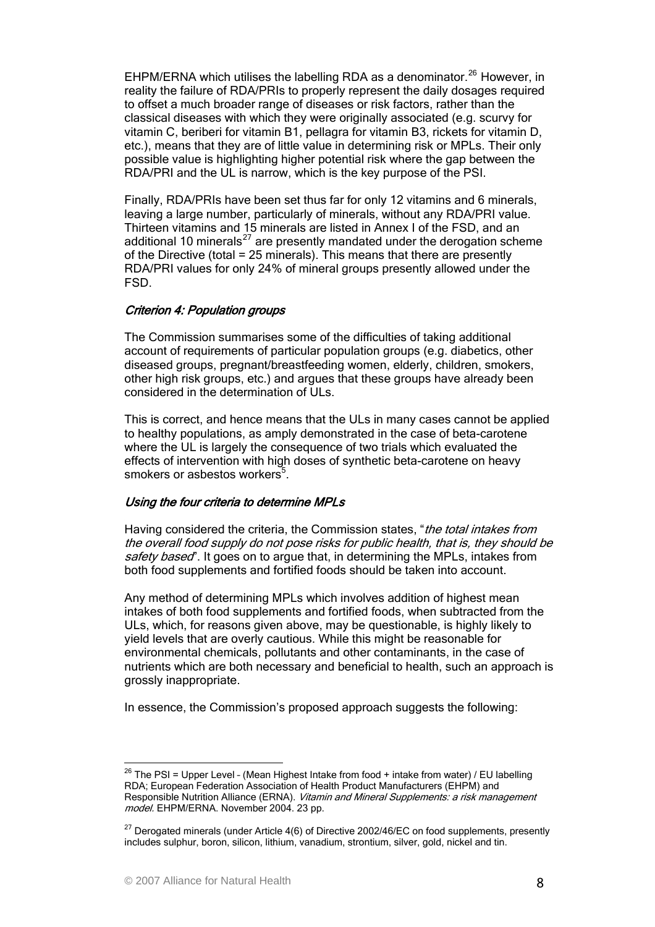EHPM/ERNA which utilises the labelling RDA as a denominator.<sup>[26](#page-7-0)</sup> However, in reality the failure of RDA/PRIs to properly represent the daily dosages required to offset a much broader range of diseases or risk factors, rather than the classical diseases with which they were originally associated (e.g. scurvy for vitamin C, beriberi for vitamin B1, pellagra for vitamin B3, rickets for vitamin D, etc.), means that they are of little value in determining risk or MPLs. Their only possible value is highlighting higher potential risk where the gap between the RDA/PRI and the UL is narrow, which is the key purpose of the PSI.

Finally, RDA/PRIs have been set thus far for only 12 vitamins and 6 minerals, leaving a large number, particularly of minerals, without any RDA/PRI value. Thirteen vitamins and 15 minerals are listed in Annex I of the FSD, and an additional 10 minerals<sup>[27](#page-7-1)</sup> are presently mandated under the derogation scheme of the Directive (total = 25 minerals). This means that there are presently RDA/PRI values for only 24% of mineral groups presently allowed under the FSD.

#### Criterion 4: Population groups

The Commission summarises some of the difficulties of taking additional account of requirements of particular population groups (e.g. diabetics, other diseased groups, pregnant/breastfeeding women, elderly, children, smokers, other high risk groups, etc.) and argues that these groups have already been considered in the determination of ULs.

This is correct, and hence means that the ULs in many cases cannot be applied to healthy populations, as amply demonstrated in the case of beta-carotene where the UL is largely the consequence of two trials which evaluated the effects of intervention with high doses of synthetic beta-carotene on heavy smokers or asbestos workers<sup>5</sup>.

#### Using the four criteria to determine MPLs

Having considered the criteria, the Commission states, "*the total intakes from* the overall food supply do not pose risks for public health, that is, they should be safety based". It goes on to argue that, in determining the MPLs, intakes from both food supplements and fortified foods should be taken into account.

Any method of determining MPLs which involves addition of highest mean intakes of both food supplements and fortified foods, when subtracted from the ULs, which, for reasons given above, may be questionable, is highly likely to yield levels that are overly cautious. While this might be reasonable for environmental chemicals, pollutants and other contaminants, in the case of nutrients which are both necessary and beneficial to health, such an approach is grossly inappropriate.

In essence, the Commission's proposed approach suggests the following:

<span id="page-7-0"></span><sup>&</sup>lt;sup>26</sup> The PSI = Upper Level - (Mean Highest Intake from food + intake from water) / EU labelling RDA; European Federation Association of Health Product Manufacturers (EHPM) and Responsible Nutrition Alliance (ERNA). Vitamin and Mineral Supplements: a risk management model. EHPM/ERNA. November 2004. 23 pp.

<span id="page-7-1"></span> $27$  Derogated minerals (under Article 4(6) of Directive 2002/46/EC on food supplements, presently includes sulphur, boron, silicon, lithium, vanadium, strontium, silver, gold, nickel and tin.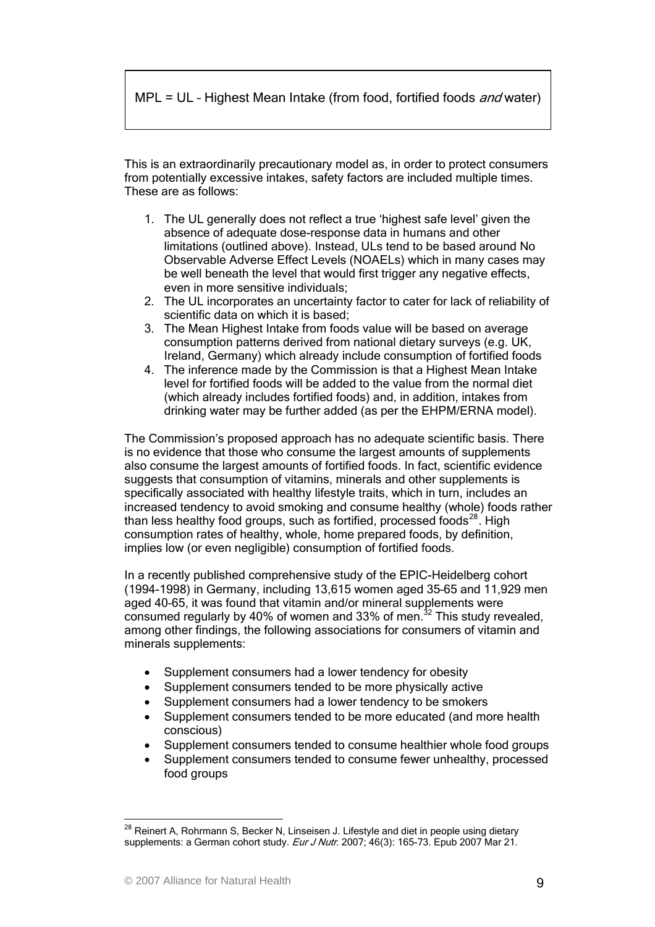# MPL = UL - Highest Mean Intake (from food, fortified foods and water)

This is an extraordinarily precautionary model as, in order to protect consumers from potentially excessive intakes, safety factors are included multiple times. These are as follows:

- 1. The UL generally does not reflect a true 'highest safe level' given the absence of adequate dose-response data in humans and other limitations (outlined above). Instead, ULs tend to be based around No Observable Adverse Effect Levels (NOAELs) which in many cases may be well beneath the level that would first trigger any negative effects, even in more sensitive individuals;
- 2. The UL incorporates an uncertainty factor to cater for lack of reliability of scientific data on which it is based;
- 3. The Mean Highest Intake from foods value will be based on average consumption patterns derived from national dietary surveys (e.g. UK, Ireland, Germany) which already include consumption of fortified foods
- 4. The inference made by the Commission is that a Highest Mean Intake level for fortified foods will be added to the value from the normal diet (which already includes fortified foods) and, in addition, intakes from drinking water may be further added (as per the EHPM/ERNA model).

The Commission's proposed approach has no adequate scientific basis. There is no evidence that those who consume the largest amounts of supplements also consume the largest amounts of fortified foods. In fact, scientific evidence suggests that consumption of vitamins, minerals and other supplements is specifically associated with healthy lifestyle traits, which in turn, includes an increased tendency to avoid smoking and consume healthy (whole) foods rather than less healthy food groups, such as fortified, processed foods $^{28}$  $^{28}$  $^{28}$ . High consumption rates of healthy, whole, home prepared foods, by definition, implies low (or even negligible) consumption of fortified foods.

In a recently published comprehensive study of the EPIC-Heidelberg cohort (1994-1998) in Germany, including 13,615 women aged 35–65 and 11,929 men aged 40–65, it was found that vitamin and/or mineral supplements were consumed regularly by 40% of women and 33% of men.<sup>32</sup> This study revealed, among other findings, the following associations for consumers of vitamin and minerals supplements:

- Supplement consumers had a lower tendency for obesity
- Supplement consumers tended to be more physically active
- Supplement consumers had a lower tendency to be smokers
- Supplement consumers tended to be more educated (and more health conscious)
- Supplement consumers tended to consume healthier whole food groups
- Supplement consumers tended to consume fewer unhealthy, processed food groups

<span id="page-8-0"></span> $\overline{a}$  $^{28}$  Reinert A, Rohrmann S, Becker N, Linseisen J. Lifestyle and diet in people using dietary supplements: a German cohort study. Eur J Nutr. 2007; 46(3): 165-73. Epub 2007 Mar 21.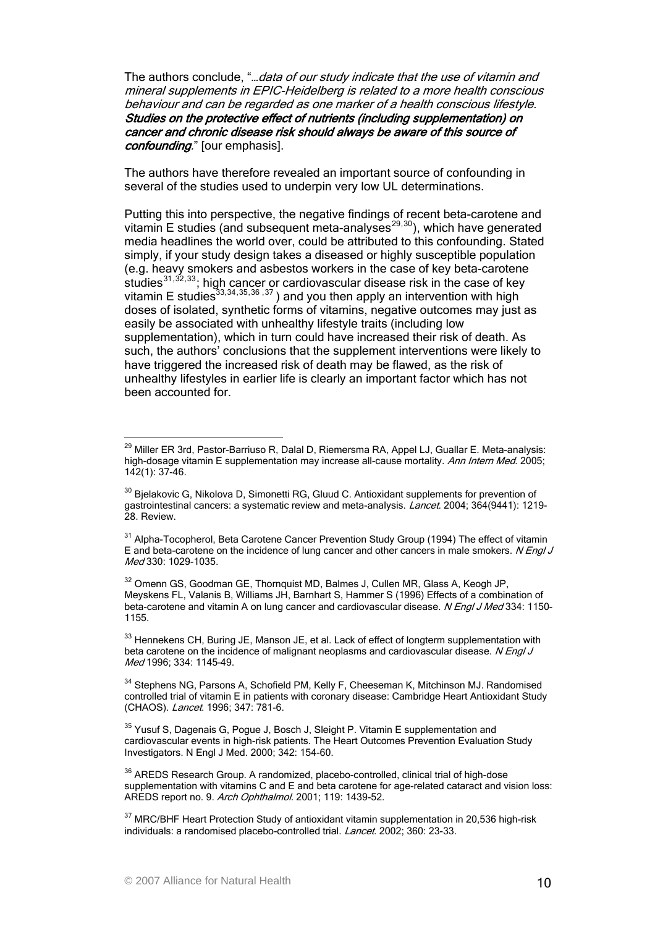The authors conclude, "*...data of our study indicate that the use of vitamin and* mineral supplements in EPIC-Heidelberg is related to a more health conscious behaviour and can be regarded as one marker of a health conscious lifestyle. Studies on the protective effect of nutrients (including supplementation) on cancer and chronic disease risk should always be aware of this source of confounding." [our emphasis].

The authors have therefore revealed an important source of confounding in several of the studies used to underpin very low UL determinations.

Putting this into perspective, the negative findings of recent beta-carotene and vitamin E studies (and subsequent meta-analyses $^{29,30}$  $^{29,30}$  $^{29,30}$  $^{29,30}$  $^{29,30}$ ), which have generated media headlines the world over, could be attributed to this confounding. Stated simply, if your study design takes a diseased or highly susceptible population (e.g. heavy smokers and asbestos workers in the case of key beta-carotene studies<sup>[31](#page-9-2),[32](#page-9-3),[33](#page-9-4)</sup>; high cancer or cardiovascular disease risk in the case of key vitamin E studies  $33,34,35,36,37$  $33,34,35,36,37$  $33,34,35,36,37$  $33,34,35,36,37$  $33,34,35,36,37$  $33,34,35,36,37$  $33,34,35,36,37$  $33,34,35,36,37$  ) and you then apply an intervention with high doses of isolated, synthetic forms of vitamins, negative outcomes may just as easily be associated with unhealthy lifestyle traits (including low supplementation), which in turn could have increased their risk of death. As such, the authors' conclusions that the supplement interventions were likely to have triggered the increased risk of death may be flawed, as the risk of unhealthy lifestyles in earlier life is clearly an important factor which has not been accounted for.

<span id="page-9-3"></span> $32$  Omenn GS, Goodman GE, Thornquist MD, Balmes J, Cullen MR, Glass A, Keogh JP, Meyskens FL, Valanis B, Williams JH, Barnhart S, Hammer S (1996) Effects of a combination of beta-carotene and vitamin A on lung cancer and cardiovascular disease. N Engl J Med 334: 1150-1155.

<span id="page-9-4"></span>33 Hennekens CH, Buring JE, Manson JE, et al. Lack of effect of longterm supplementation with beta carotene on the incidence of malignant neoplasms and cardiovascular disease. N Engl J Med 1996; 334: 1145–49.

<span id="page-9-5"></span><sup>34</sup> Stephens NG, Parsons A, Schofield PM, Kelly F, Cheeseman K, Mitchinson MJ. Randomised controlled trial of vitamin E in patients with coronary disease: Cambridge Heart Antioxidant Study (CHAOS). Lancet. 1996; 347: 781-6.

<span id="page-9-6"></span> $35$  Yusuf S, Dagenais G, Pogue J, Bosch J, Sleight P. Vitamin E supplementation and cardiovascular events in high-risk patients. The Heart Outcomes Prevention Evaluation Study Investigators. N Engl J Med. 2000; 342: 154-60.

<span id="page-9-7"></span><sup>36</sup> AREDS Research Group. A randomized, placebo-controlled, clinical trial of high-dose supplementation with vitamins C and E and beta carotene for age-related cataract and vision loss: AREDS report no. 9. Arch Ophthalmol. 2001; 119: 1439-52.

<span id="page-9-8"></span> $37$  MRC/BHF Heart Protection Study of antioxidant vitamin supplementation in 20,536 high-risk individuals: a randomised placebo-controlled trial. *Lancet*. 2002; 360: 23-33.

<span id="page-9-0"></span><sup>&</sup>lt;sup>29</sup> Miller ER 3rd, Pastor-Barriuso R, Dalal D, Riemersma RA, Appel LJ, Guallar E. Meta-analysis: high-dosage vitamin E supplementation may increase all-cause mortality. Ann Intern Med. 2005; 142(1): 37-46.

<span id="page-9-1"></span> $30$  Bjelakovic G, Nikolova D, Simonetti RG, Gluud C. Antioxidant supplements for prevention of gastrointestinal cancers: a systematic review and meta-analysis. *Lancet*. 2004; 364(9441): 1219-28. Review.

<span id="page-9-2"></span><sup>&</sup>lt;sup>31</sup> Alpha-Tocopherol, Beta Carotene Cancer Prevention Study Group (1994) The effect of vitamin E and beta-carotene on the incidence of lung cancer and other cancers in male smokers. N Engl J Med 330: 1029-1035.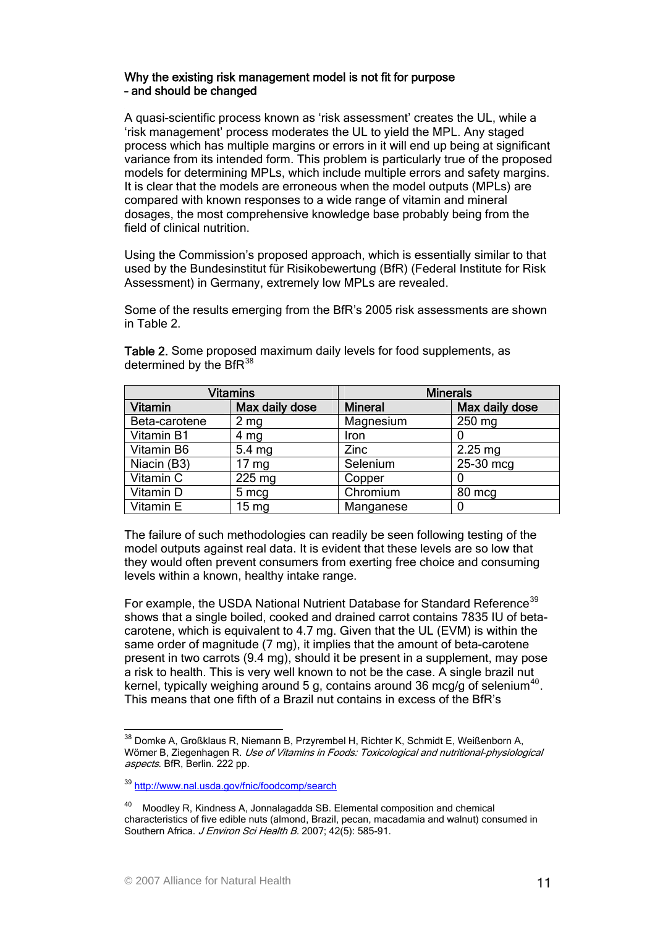#### Why the existing risk management model is not fit for purpose – and should be changed

A quasi-scientific process known as 'risk assessment' creates the UL, while a 'risk management' process moderates the UL to yield the MPL. Any staged process which has multiple margins or errors in it will end up being at significant variance from its intended form. This problem is particularly true of the proposed models for determining MPLs, which include multiple errors and safety margins. It is clear that the models are erroneous when the model outputs (MPLs) are compared with known responses to a wide range of vitamin and mineral dosages, the most comprehensive knowledge base probably being from the field of clinical nutrition.

Using the Commission's proposed approach, which is essentially similar to that used by the Bundesinstitut für Risikobewertung (BfR) (Federal Institute for Risk Assessment) in Germany, extremely low MPLs are revealed.

Some of the results emerging from the BfR's 2005 risk assessments are shown in Table 2.

| <b>Vitamins</b> |                  | <b>Minerals</b> |                |
|-----------------|------------------|-----------------|----------------|
| <b>Vitamin</b>  | Max daily dose   | <b>Mineral</b>  | Max daily dose |
| Beta-carotene   | 2 <sub>mg</sub>  | Magnesium       | 250 mg         |
| Vitamin B1      | 4 <sub>mg</sub>  | <b>Iron</b>     |                |
| Vitamin B6      | $5.4 \text{ mg}$ | <b>Zinc</b>     | $2.25$ mg      |
| Niacin (B3)     | 17 <sub>mg</sub> | Selenium        | 25-30 mcg      |
| Vitamin C       | 225 mg           | Copper          |                |
| Vitamin D       | 5 mcg            | Chromium        | 80 mcg         |
| Vitamin E       | $15 \text{ mg}$  | Manganese       |                |

Table 2. Some proposed maximum daily levels for food supplements, as determined by the BfR<sup>[38](#page-10-0)</sup>

The failure of such methodologies can readily be seen following testing of the model outputs against real data. It is evident that these levels are so low that they would often prevent consumers from exerting free choice and consuming levels within a known, healthy intake range.

For example, the USDA National Nutrient Database for Standard Reference<sup>[39](#page-10-1)</sup> shows that a single boiled, cooked and drained carrot contains 7835 IU of betacarotene, which is equivalent to 4.7 mg. Given that the UL (EVM) is within the same order of magnitude (7 mg), it implies that the amount of beta-carotene present in two carrots (9.4 mg), should it be present in a supplement, may pose a risk to health. This is very well known to not be the case. A single brazil nut kernel, typically weighing around 5 g, contains around 36 mcg/g of selenium<sup>[40](#page-10-2)</sup>. This means that one fifth of a Brazil nut contains in excess of the BfR's

<span id="page-10-0"></span> $\overline{a}$  $^{38}$  Domke A, Großklaus R, Niemann B, Przyrembel H, Richter K, Schmidt E, Weißenborn A, Wörner B, Ziegenhagen R. Use of Vitamins in Foods: Toxicological and nutritional-physiological aspects. BfR, Berlin. 222 pp.

<span id="page-10-1"></span><sup>39</sup> <http://www.nal.usda.gov/fnic/foodcomp/search>

<span id="page-10-2"></span><sup>40</sup> Moodley R, Kindness A, Jonnalagadda SB. Elemental composition and chemical characteristics of five edible nuts (almond, Brazil, pecan, macadamia and walnut) consumed in Southern Africa. J Environ Sci Health B. 2007; 42(5): 585-91.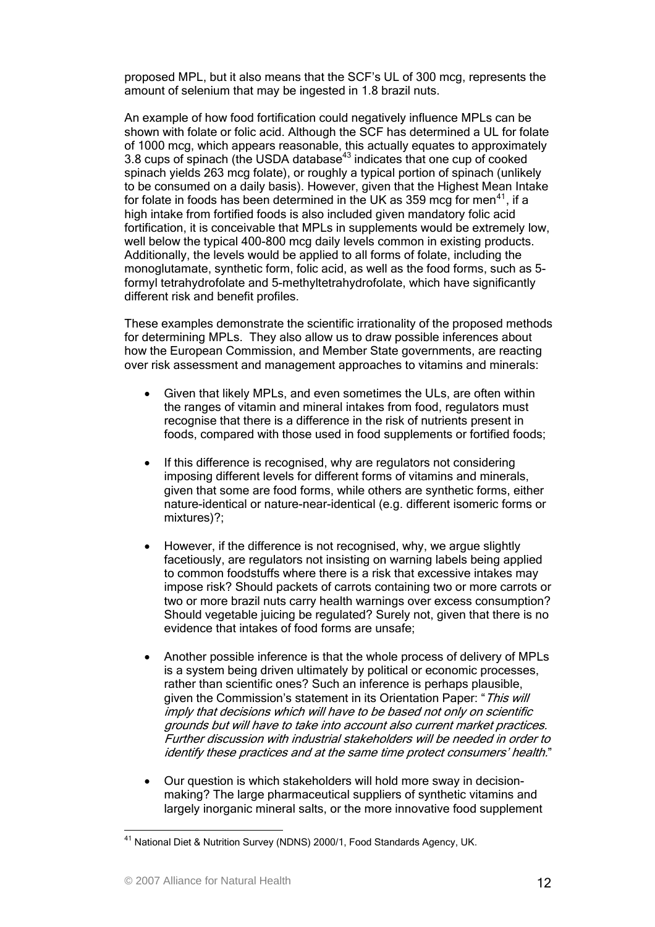proposed MPL, but it also means that the SCF's UL of 300 mcg, represents the amount of selenium that may be ingested in 1.8 brazil nuts.

An example of how food fortification could negatively influence MPLs can be shown with folate or folic acid. Although the SCF has determined a UL for folate of 1000 mcg, which appears reasonable, this actually equates to approximately  $3.8$  cups of spinach (the USDA database<sup>43</sup> indicates that one cup of cooked spinach yields 263 mcg folate), or roughly a typical portion of spinach (unlikely to be consumed on a daily basis). However, given that the Highest Mean Intake for folate in foods has been determined in the UK as 359 mcg for men<sup>[41](#page-11-0)</sup>, if a high intake from fortified foods is also included given mandatory folic acid fortification, it is conceivable that MPLs in supplements would be extremely low, well below the typical 400-800 mcg daily levels common in existing products. Additionally, the levels would be applied to all forms of folate, including the monoglutamate, synthetic form, folic acid, as well as the food forms, such as 5 formyl tetrahydrofolate and 5-methyltetrahydrofolate, which have significantly different risk and benefit profiles.

These examples demonstrate the scientific irrationality of the proposed methods for determining MPLs. They also allow us to draw possible inferences about how the European Commission, and Member State governments, are reacting over risk assessment and management approaches to vitamins and minerals:

- Given that likely MPLs, and even sometimes the ULs, are often within the ranges of vitamin and mineral intakes from food, regulators must recognise that there is a difference in the risk of nutrients present in foods, compared with those used in food supplements or fortified foods;
- If this difference is recognised, why are regulators not considering imposing different levels for different forms of vitamins and minerals, given that some are food forms, while others are synthetic forms, either nature-identical or nature-near-identical (e.g. different isomeric forms or mixtures)?;
- However, if the difference is not recognised, why, we argue slightly facetiously, are regulators not insisting on warning labels being applied to common foodstuffs where there is a risk that excessive intakes may impose risk? Should packets of carrots containing two or more carrots or two or more brazil nuts carry health warnings over excess consumption? Should vegetable juicing be regulated? Surely not, given that there is no evidence that intakes of food forms are unsafe;
- Another possible inference is that the whole process of delivery of MPLs is a system being driven ultimately by political or economic processes, rather than scientific ones? Such an inference is perhaps plausible, given the Commission's statement in its Orientation Paper: "This will imply that decisions which will have to be based not only on scientific grounds but will have to take into account also current market practices. Further discussion with industrial stakeholders will be needed in order to identify these practices and at the same time protect consumers' health."
- Our question is which stakeholders will hold more sway in decisionmaking? The large pharmaceutical suppliers of synthetic vitamins and largely inorganic mineral salts, or the more innovative food supplement

<span id="page-11-0"></span> $\overline{a}$ <sup>41</sup> National Diet & Nutrition Survey (NDNS) 2000/1, Food Standards Agency, UK.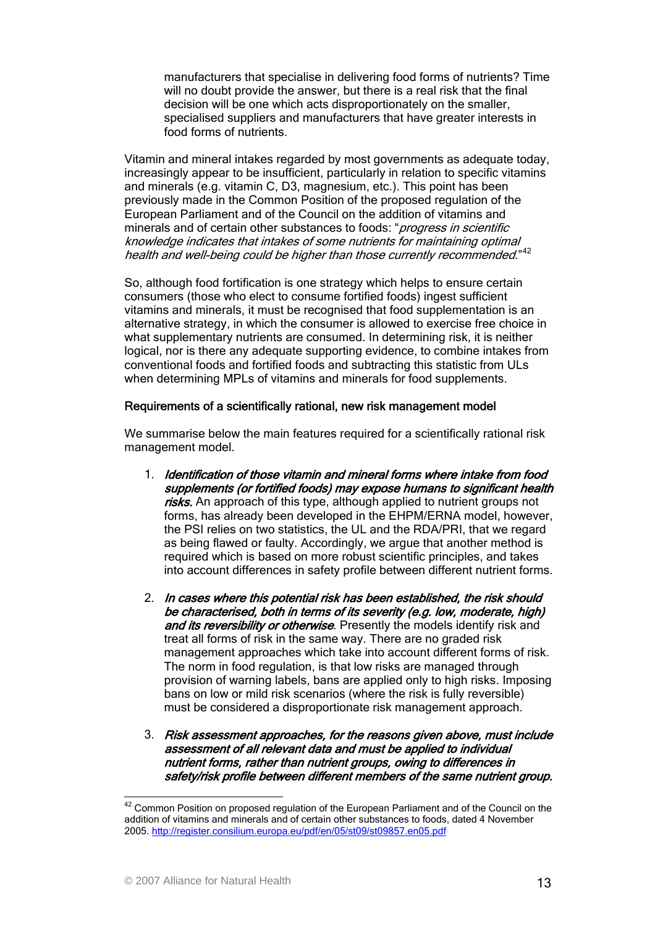manufacturers that specialise in delivering food forms of nutrients? Time will no doubt provide the answer, but there is a real risk that the final decision will be one which acts disproportionately on the smaller, specialised suppliers and manufacturers that have greater interests in food forms of nutrients.

Vitamin and mineral intakes regarded by most governments as adequate today, increasingly appear to be insufficient, particularly in relation to specific vitamins and minerals (e.g. vitamin C, D3, magnesium, etc.). This point has been previously made in the Common Position of the proposed regulation of the European Parliament and of the Council on the addition of vitamins and minerals and of certain other substances to foods: "progress in scientific knowledge indicates that intakes of some nutrients for maintaining optimal health and well-being could be higher than those currently recommended."<sup>[42](#page-12-0)</sup>

So, although food fortification is one strategy which helps to ensure certain consumers (those who elect to consume fortified foods) ingest sufficient vitamins and minerals, it must be recognised that food supplementation is an alternative strategy, in which the consumer is allowed to exercise free choice in what supplementary nutrients are consumed. In determining risk, it is neither logical, nor is there any adequate supporting evidence, to combine intakes from conventional foods and fortified foods and subtracting this statistic from ULs when determining MPLs of vitamins and minerals for food supplements.

#### Requirements of a scientifically rational, new risk management model

We summarise below the main features required for a scientifically rational risk management model.

- 1. Identification of those vitamin and mineral forms where intake from food supplements (or fortified foods) may expose humans to significant health risks. An approach of this type, although applied to nutrient groups not forms, has already been developed in the EHPM/ERNA model, however, the PSI relies on two statistics, the UL and the RDA/PRI, that we regard as being flawed or faulty. Accordingly, we argue that another method is required which is based on more robust scientific principles, and takes into account differences in safety profile between different nutrient forms.
- 2. In cases where this potential risk has been established, the risk should be characterised, both in terms of its severity (e.g. low, moderate, high) and its reversibility or otherwise. Presently the models identify risk and treat all forms of risk in the same way. There are no graded risk management approaches which take into account different forms of risk. The norm in food regulation, is that low risks are managed through provision of warning labels, bans are applied only to high risks. Imposing bans on low or mild risk scenarios (where the risk is fully reversible) must be considered a disproportionate risk management approach.
- 3. Risk assessment approaches, for the reasons given above, must include assessment of all relevant data and must be applied to individual nutrient forms, rather than nutrient groups, owing to differences in safety/risk profile between different members of the same nutrient group.

<span id="page-12-0"></span> $42$  Common Position on proposed regulation of the European Parliament and of the Council on the addition of vitamins and minerals and of certain other substances to foods, dated 4 November 2005. <http://register.consilium.europa.eu/pdf/en/05/st09/st09857.en05.pdf>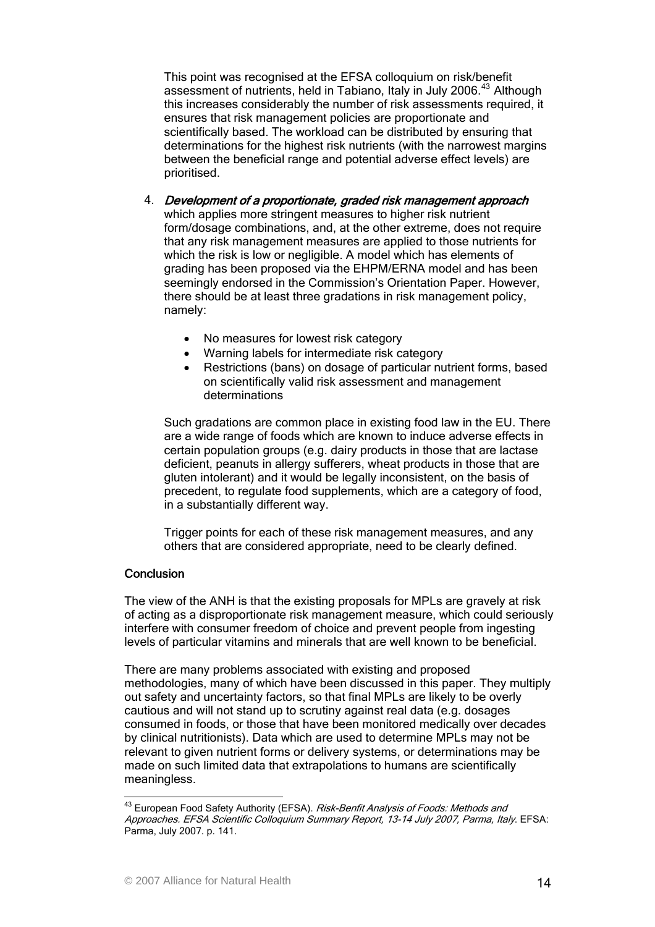This point was recognised at the EFSA colloquium on risk/benefit assessment of nutrients, held in Tabiano, Italy in July 2006.<sup>[43](#page-13-0)</sup> Although this increases considerably the number of risk assessments required, it ensures that risk management policies are proportionate and scientifically based. The workload can be distributed by ensuring that determinations for the highest risk nutrients (with the narrowest margins between the beneficial range and potential adverse effect levels) are prioritised.

- 4. Development of a proportionate, graded risk management approach which applies more stringent measures to higher risk nutrient form/dosage combinations, and, at the other extreme, does not require that any risk management measures are applied to those nutrients for which the risk is low or negligible. A model which has elements of grading has been proposed via the EHPM/ERNA model and has been seemingly endorsed in the Commission's Orientation Paper. However, there should be at least three gradations in risk management policy, namely:
	- No measures for lowest risk category
	- Warning labels for intermediate risk category
	- Restrictions (bans) on dosage of particular nutrient forms, based on scientifically valid risk assessment and management determinations

Such gradations are common place in existing food law in the EU. There are a wide range of foods which are known to induce adverse effects in certain population groups (e.g. dairy products in those that are lactase deficient, peanuts in allergy sufferers, wheat products in those that are gluten intolerant) and it would be legally inconsistent, on the basis of precedent, to regulate food supplements, which are a category of food, in a substantially different way.

Trigger points for each of these risk management measures, and any others that are considered appropriate, need to be clearly defined.

# **Conclusion**

 $\overline{1}$ 

The view of the ANH is that the existing proposals for MPLs are gravely at risk of acting as a disproportionate risk management measure, which could seriously interfere with consumer freedom of choice and prevent people from ingesting levels of particular vitamins and minerals that are well known to be beneficial.

There are many problems associated with existing and proposed methodologies, many of which have been discussed in this paper. They multiply out safety and uncertainty factors, so that final MPLs are likely to be overly cautious and will not stand up to scrutiny against real data (e.g. dosages consumed in foods, or those that have been monitored medically over decades by clinical nutritionists). Data which are used to determine MPLs may not be relevant to given nutrient forms or delivery systems, or determinations may be made on such limited data that extrapolations to humans are scientifically meaningless.

<span id="page-13-0"></span><sup>&</sup>lt;sup>43</sup> European Food Safety Authority (EFSA). *Risk-Benfit Analysis of Foods: Methods and* Approaches. EFSA Scientific Colloquium Summary Report, 13-14 July 2007, Parma, Italy. EFSA: Parma, July 2007. p. 141.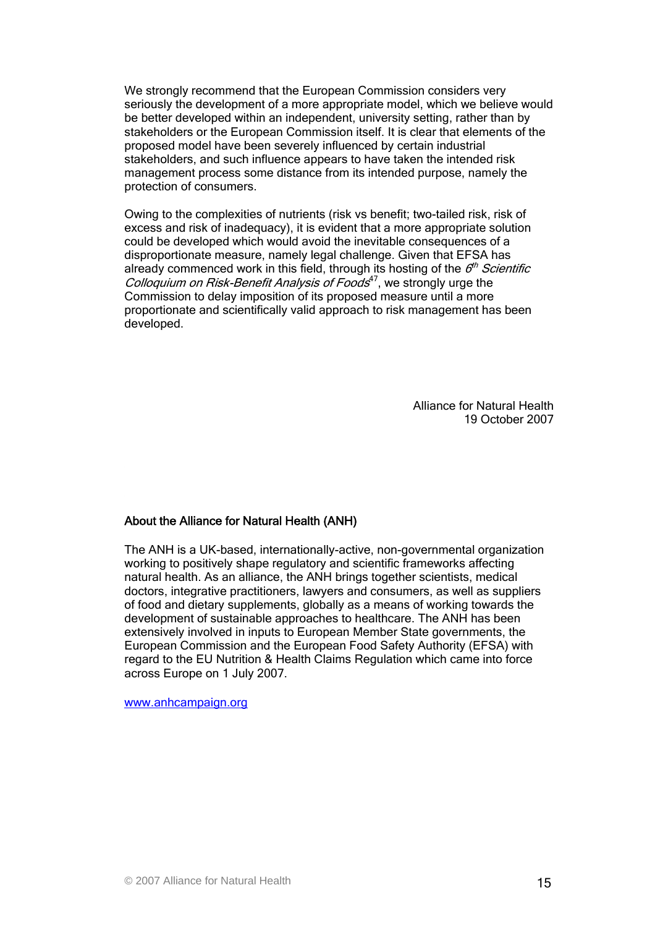We strongly recommend that the European Commission considers very seriously the development of a more appropriate model, which we believe would be better developed within an independent, university setting, rather than by stakeholders or the European Commission itself. It is clear that elements of the proposed model have been severely influenced by certain industrial stakeholders, and such influence appears to have taken the intended risk management process some distance from its intended purpose, namely the protection of consumers.

Owing to the complexities of nutrients (risk vs benefit; two-tailed risk, risk of excess and risk of inadequacy), it is evident that a more appropriate solution could be developed which would avoid the inevitable consequences of a disproportionate measure, namely legal challenge. Given that EFSA has already commenced work in this field, through its hosting of the  $6<sup>th</sup>$  Scientific Colloquium on Risk-Benefit Analysis of Foods $47$ , we strongly urge the Commission to delay imposition of its proposed measure until a more proportionate and scientifically valid approach to risk management has been developed.

> Alliance for Natural Health 19 October 2007

# About the Alliance for Natural Health (ANH)

The ANH is a UK-based, internationally-active, non-governmental organization working to positively shape regulatory and scientific frameworks affecting natural health. As an alliance, the ANH brings together scientists, medical doctors, integrative practitioners, lawyers and consumers, as well as suppliers of food and dietary supplements, globally as a means of working towards the development of sustainable approaches to healthcare. The ANH has been extensively involved in inputs to European Member State governments, the European Commission and the European Food Safety Authority (EFSA) with regard to the EU Nutrition & Health Claims Regulation which came into force across Europe on 1 July 2007.

[www.anhcampaign.org](http://www.anhcampaign.org/)